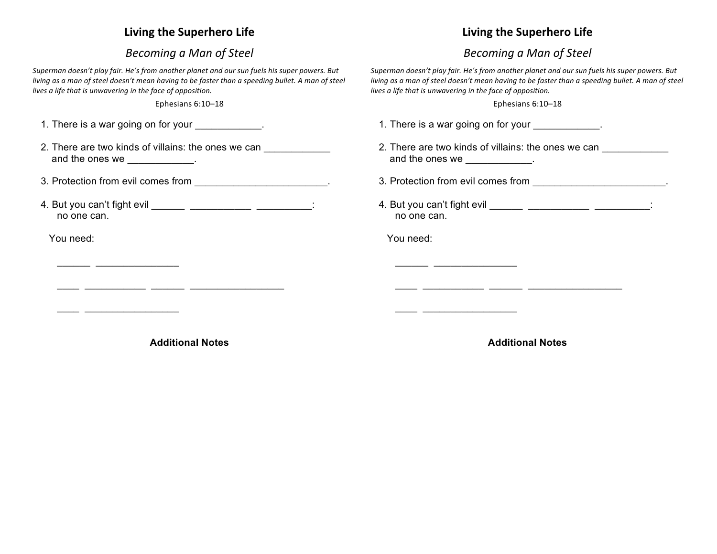## **Living the Superhero Life**

## *Becoming a Man of Steel*

Superman doesn't play fair. He's from another planet and our sun fuels his super powers. But *living* as a man of steel doesn't mean having to be faster than a speeding bullet. A man of steel lives a life that is unwavering in the face of opposition.

Ephesians 6:10–18

| 1. There is a war going on for your ____________.                                    |
|--------------------------------------------------------------------------------------|
| 2. There are two kinds of villains: the ones we can<br>and the ones we ____________. |
|                                                                                      |
| 4. But you can't fight evil _______ _______________ __________:<br>no one can.       |
| You need:                                                                            |
|                                                                                      |
|                                                                                      |
|                                                                                      |
|                                                                                      |

## **Additional Notes**